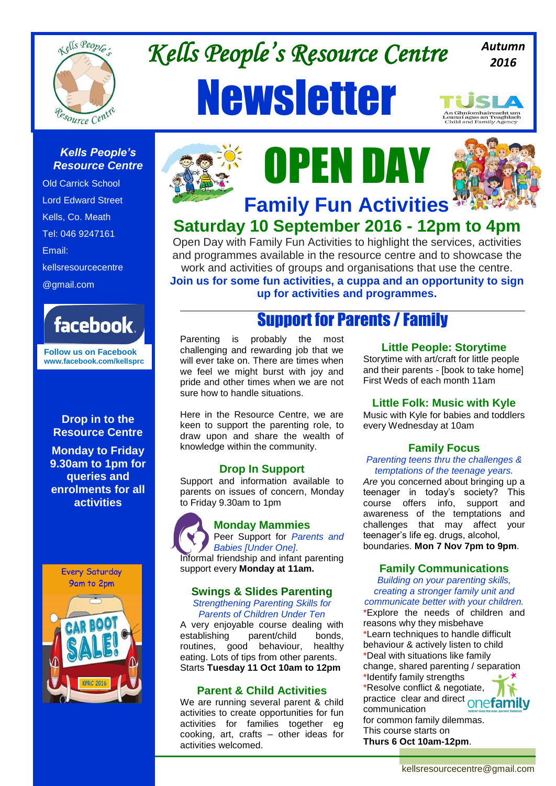

# *Kells People's Resource Centre*  Newsletter

*Autumn 2016*

#### *Kells People's Resource Centre*

Old Carrick School Lord Edward Street Kells, Co. Meath Tel: 046 9247161 Email: kellsresourcecentre @gmail.com



**Follow us on Facebook www.facebook.com/kellsprc**

#### **Drop in to the Resource Centre**

**Monday to Friday 9.30am to 1pm for queries and enrolments for all activities**









## **Family Fun Activities Saturday 10 September 2016 - 12pm to 4pm**

Open Day with Family Fun Activities to highlight the services, activities and programmes available in the resource centre and to showcase the work and activities of groups and organisations that use the centre. **Join us for some fun activities, a cuppa and an opportunity to sign** 

**up for activities and programmes.**

## Support for Parents / Family

Parenting is probably the most challenging and rewarding job that we will ever take on. There are times when we feel we might burst with joy and pride and other times when we are not sure how to handle situations.

Here in the Resource Centre, we are keen to support the parenting role, to draw upon and share the wealth of knowledge within the community.

### **Drop In Support**

Support and information available to parents on issues of concern, Monday to Friday 9.30am to 1pm



## **Swings & Slides Parenting**

*Strengthening Parenting Skills for Parents of Children Under Ten*

A very enjoyable course dealing with establishing parent/child bonds, routines, good behaviour, healthy eating. Lots of tips from other parents. Starts **Tuesday 11 Oct 10am to 12pm**

### **Parent & Child Activities**

We are running several parent & child activities to create opportunities for fun activities for families together eg cooking, art, crafts – other ideas for activities welcomed.

#### **Little People: Storytime**

Storytime with art/craft for little people and their parents - [book to take home] First Weds of each month 11am

#### **Little Folk: Music with Kyle**

Music with Kyle for babies and toddlers every Wednesday at 10am

### **Family Focus**

*Parenting teens thru the challenges & temptations of the teenage years.*

*Are* you concerned about bringing up a teenager in today's society? This course offers info, support and awareness of the temptations and challenges that may affect your teenager's life eg. drugs, alcohol, boundaries. **Mon 7 Nov 7pm to 9pm**.

#### **Family Communications**

*Building on your parenting skills, creating a stronger family unit and communicate better with your children.* 

\*Explore the needs of children and reasons why they misbehave \*Learn techniques to handle difficult behaviour & actively listen to child \*Deal with situations like family change, shared parenting / separation \*Identify family strengths \*Resolve conflict & negotiate, practice clear and direct **onefamily** communication for common family dilemmas. This course starts on **Thurs 6 Oct 10am-12pm**.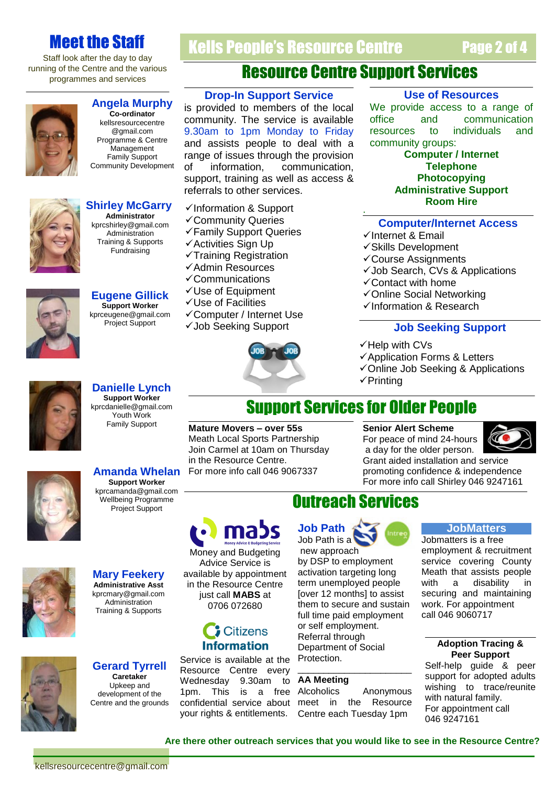## Meet the Staff

Staff look after the day to day running of the Centre and the various programmes and services



#### **Angela Murphy**

**Co-ordinator** kellsresourcecentre @gmail.com Programme & Centre **Management** Family Support Community Development



#### **Shirley McGarry Administrator** kprcshirley@gmail.com Administration

Training & Supports **Fundraising** 

**Eugene Gillick Support Worker** kprceugene@gmail.com Project Support

**Danielle Lynch Support Worker** kprcdanielle@gmail.com Youth Work Family Support

# Resource Centre Support Services

Kells People's Resource Centre

#### **Drop-In Support Service**

is provided to members of the local community. The service is available 9.30am to 1pm Monday to Friday and assists people to deal with a range of issues through the provision of information, communication, support, training as well as access & referrals to other services.

- $\checkmark$ Information & Support
- Community Queries
- Family Support Queries
- Activities Sign Up
- $\checkmark$ Training Registration
- $\checkmark$ Admin Resources
- Communications
- Use of Equipment
- Use of Facilities
- Computer / Internet Use
- Job Seeking Support



#### **Use of Resources**

Page 2 of 4

We provide access to a range of office and communication resources to individuals and community groups:

> **Computer / Internet Telephone Photocopying Administrative Support Room Hire**

#### **Computer/Internet Access**

- $\checkmark$  Internet & Email
- $\checkmark$ Skills Development
- Course Assignments
- $\checkmark$  Job Search, CVs & Applications
- Contact with home
- Online Social Networking
- $\checkmark$ Information & Research

#### **Job Seeking Support**

- $\checkmark$  Help with CVs
- Application Forms & Letters

Grant aided installation and service promoting confidence & independence For more info call Shirley 046 9247161

- Online Job Seeking & Applications
- $\checkmark$ Printing

## Support Services for Older People

.

**Mature Movers – over 55s** Meath Local Sports Partnership Join Carmel at 10am on Thursday in the Resource Centre. For more info call 046 9067337

Money and Budgeting Advice Service is available by appointment in the Resource Centre just call **MABS** at 0706 072680

mad

**Citizens Information**  **Senior Alert Scheme** For peace of mind 24-hours a day for the older person.



## **Amanda Whelan Support Worker**

kprcamanda@gmail.com Wellbeing Programme Project Support



**Mary Feekery Administrative Asst** kprcmary@gmail.com Administration Training & Supports





Centre and the grounds Resource Centre every Wednesday 9.30am to **AA Meetir**<br>1pm. This is a free Alcoholics 1pm. This your rights & entitlements.

## Outreach Services



new approach by DSP to employment activation targeting long term unemployed people [over 12 months] to assist them to secure and sustain full time paid employment or self employment. Referral through Department of Social Protection.

#### **AA Meeting**

confidential service about meet in the Resource Anonymous Centre each Tuesday 1pm

\_\_\_\_\_\_\_\_\_\_\_\_\_\_\_\_\_\_\_\_\_\_

#### **JobMatters**

Jobmatters is a free employment & recruitment service covering County Meath that assists people with a disability in securing and maintaining work. For appointment call 046 9060717

#### **Adoption Tracing & Peer Support**

Self-help guide & peer support for adopted adults wishing to trace/reunite with natural family. For appointment call 046 9247161

**Are there other outreach services that you would like to see in the Resource Centre?**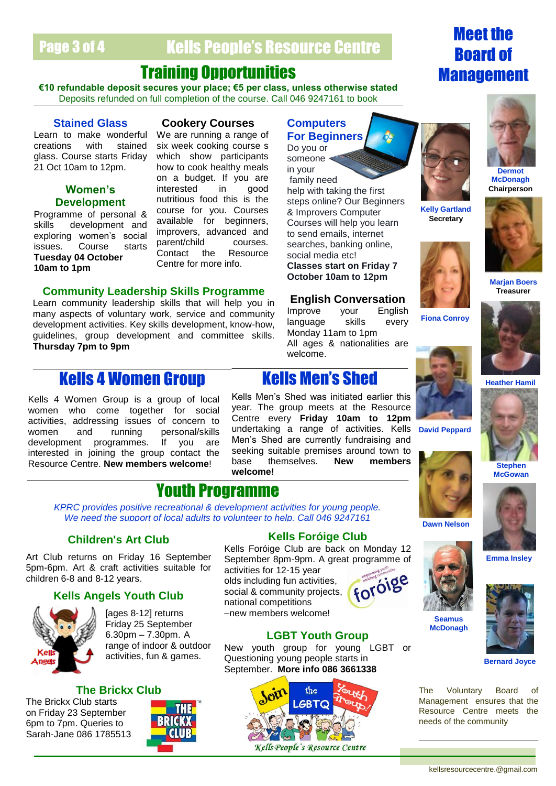## Page 3 of 4 Kells People's Resource Centre

## Training Opportunities

**€10 refundable deposit secures your place; €5 per class, unless otherwise stated** Deposits refunded on full completion of the course. Call 046 9247161 to book

#### **Stained Glass**

Learn to make wonderful creations with stained glass. Course starts Friday 21 Oct 10am to 12pm.

### **Women's Development**

Programme of personal & skills development and exploring women's social issues. Course starts **Tuesday 04 October 10am to 1pm**

### **Cookery Courses**

We are running a range of six week cooking course s which show participants how to cook healthy meals on a budget. If you are interested in good nutritious food this is the course for you. Courses available for beginners, improvers, advanced and parent/child courses.<br>Contact the Resource Contact the Centre for more info.

#### **Community Leadership Skills Programme**

Learn community leadership skills that will help you in many aspects of voluntary work, service and community development activities. Key skills development, know-how, guidelines, group development and committee skills. **Thursday 7pm to 9pm**

## **Kells 4 Women Group Kells Men's Shed**

Kells 4 Women Group is a group of local women when activities, ad women a development programmes. If you are interested in joining the group contact the Resource Centre. **New members welcome**!



Do you or someone < in your family need help with taking the first steps online? Our Beginners & Improvers Computer Courses will help you learn to send emails, internet searches, banking online, social media etc! **Classes start on Friday 7 October 10am to 12pm**

#### **English Conversation**

Improve your English language skills every Monday 11am to 1pm All ages & nationalities are welcome.



**Kelly Gartland Secretary**



**Fiona Conroy**





**Dermot McDonagh Chairperson**

**Marjan Boers Treasurer**



**Dawn Nelson**



**Emma Insley**



**Bernard Joyce**

The Voluntary Board of Management ensures that the Resource Centre meets the needs of the community

| $1.011$ order to a group of $10001$ |                                          |
|-------------------------------------|------------------------------------------|
| o come together for social          | year. The group meets at the Resource    |
| ddressing issues of concern to      | Centre every <b>Friday 10am to 12pm</b>  |
| ind running personal/skills         | undertaking a range of activities. Kells |
| lf vou are<br>programmes            | Men's Shed are currently fundraising and |

# Youth Programme

*KPRC provides positive recreational & development activities for young people. We need the support of local adults to volunteer to help. Call 046 9247161*

**welcome!**

#### **Children's Art Club**

Art Club returns on Friday 16 September 5pm-6pm. Art & craft activities suitable for children 6-8 and 8-12 years.

#### **Kells Angels Youth Club**



[ages 8-12] returns Friday 25 September 6.30pm – 7.30pm. A range of indoor & outdoor activities, fun & games.

#### **The Brickx Club**

The Brickx Club starts on Friday 23 September 6pm to 7pm. Queries to Sarah-Jane 086 1785513



**Kells Foróige Club**

Kells Men's Shed was initiated earlier this

seeking suitable premises around town to base themselves. **New members** 

Kells Foróige Club are back on Monday 12 September 8pm-9pm. A great programme of activities for 12-15 year

olds including fun activities, social & community projects, national competitions –new members welcome!



#### **LGBT Youth Group**

New youth group for young LGBT or Questioning young people starts in September. **More info 086 3661338**







**Stephen McGowan**





# Board of Management

Meet the